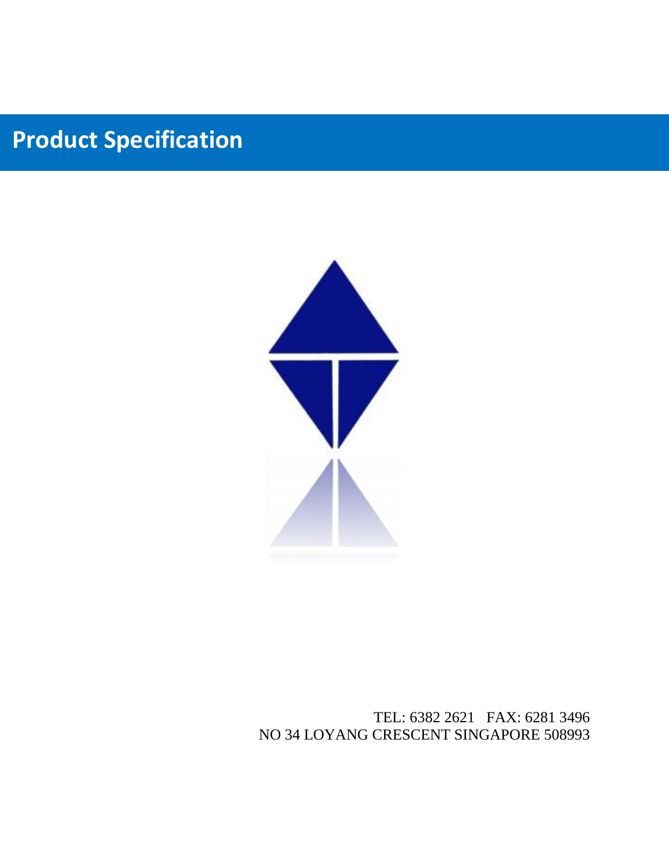# **Product Specification**



 TEL: 6382 2621 FAX: 6281 3496 NO 34 LOYANG CRESCENT SINGAPORE 508993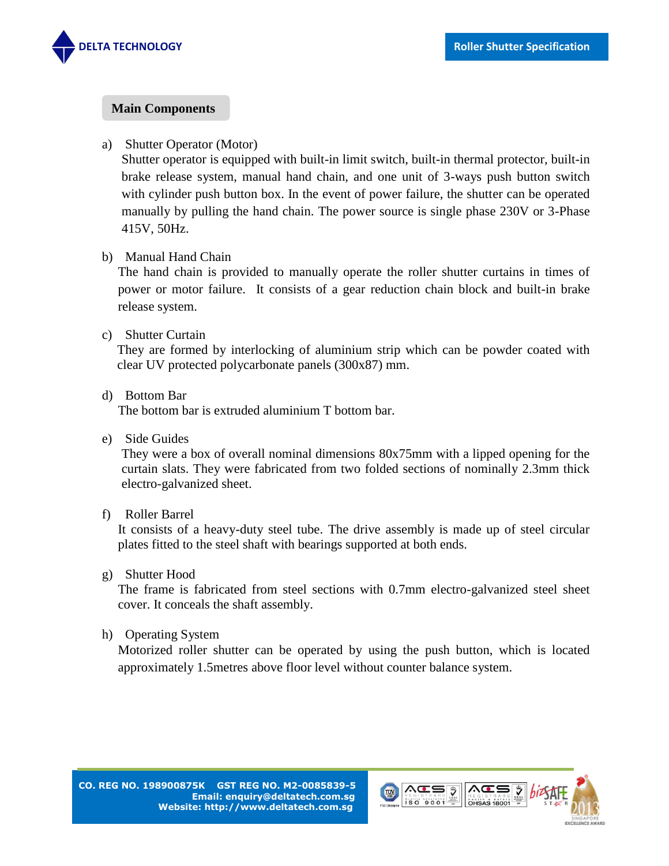

### **Main Components**

a) Shutter Operator (Motor)

Shutter operator is equipped with built-in limit switch, built-in thermal protector, built-in brake release system, manual hand chain, and one unit of 3-ways push button switch with cylinder push button box. In the event of power failure, the shutter can be operated manually by pulling the hand chain. The power source is single phase 230V or 3-Phase 415V, 50Hz.

### b) Manual Hand Chain

The hand chain is provided to manually operate the roller shutter curtains in times of power or motor failure. It consists of a gear reduction chain block and built-in brake release system.

### c) Shutter Curtain

They are formed by interlocking of aluminium strip which can be powder coated with clear UV protected polycarbonate panels (300x87) mm.

### d) Bottom Bar

The bottom bar is extruded aluminium T bottom bar.

e) Side Guides

They were a box of overall nominal dimensions 80x75mm with a lipped opening for the curtain slats. They were fabricated from two folded sections of nominally 2.3mm thick electro-galvanized sheet.

f) Roller Barrel

It consists of a heavy-duty steel tube. The drive assembly is made up of steel circular plates fitted to the steel shaft with bearings supported at both ends.

## g) Shutter Hood

The frame is fabricated from steel sections with 0.7mm electro-galvanized steel sheet cover. It conceals the shaft assembly.

#### h) Operating System

Motorized roller shutter can be operated by using the push button, which is located approximately 1.5metres above floor level without counter balance system.